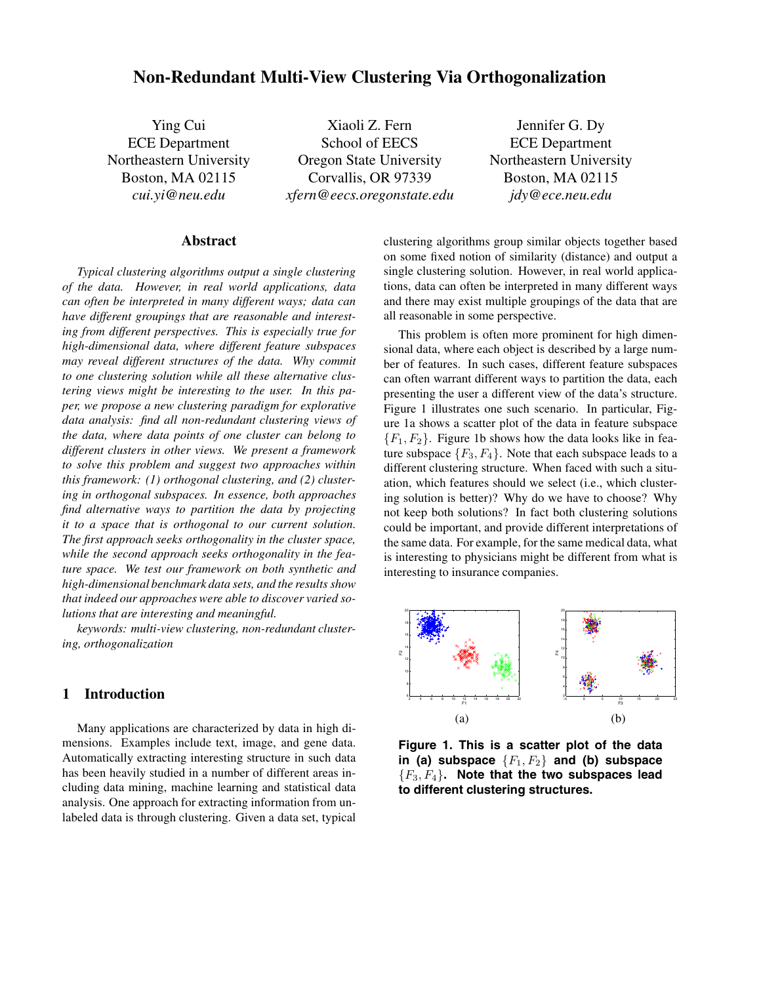# **Non-Redundant Multi-View Clustering Via Orthogonalization**

Ying Cui ECE Department Northeastern University Boston, MA 02115 *cui.yi@neu.edu*

Xiaoli Z. Fern School of EECS Oregon State University Corvallis, OR 97339 *xfern@eecs.oregonstate.edu*

Jennifer G. Dy ECE Department Northeastern University Boston, MA 02115 *jdy@ece.neu.edu*

# **Abstract**

*Typical clustering algorithms output a single clustering of the data. However, in real world applications, data can often be interpreted in many different ways; data can have different groupings that are reasonable and interesting from different perspectives. This is especially true for high-dimensional data, where different feature subspaces may reveal different structures of the data. Why commit to one clustering solution while all these alternative clustering views might be interesting to the user. In this paper, we propose a new clustering paradigm for explorative data analysis: find all non-redundant clustering views of the data, where data points of one cluster can belong to different clusters in other views. We present a framework to solve this problem and suggest two approaches within this framework: (1) orthogonal clustering, and (2) clustering in orthogonal subspaces. In essence, both approaches find alternative ways to partition the data by projecting it to a space that is orthogonal to our current solution. The first approach seeks orthogonality in the cluster space, while the second approach seeks orthogonality in the feature space. We test our framework on both synthetic and high-dimensional benchmark data sets, and the results show that indeed our approaches were able to discover varied solutions that are interesting and meaningful.*

*keywords: multi-view clustering, non-redundant clustering, orthogonalization*

# **1 Introduction**

Many applications are characterized by data in high dimensions. Examples include text, image, and gene data. Automatically extracting interesting structure in such data has been heavily studied in a number of different areas including data mining, machine learning and statistical data analysis. One approach for extracting information from unlabeled data is through clustering. Given a data set, typical clustering algorithms group similar objects together based on some fixed notion of similarity (distance) and output a single clustering solution. However, in real world applications, data can often be interpreted in many different ways and there may exist multiple groupings of the data that are all reasonable in some perspective.

This problem is often more prominent for high dimensional data, where each object is described by a large number of features. In such cases, different feature subspaces can often warrant different ways to partition the data, each presenting the user a different view of the data's structure. Figure 1 illustrates one such scenario. In particular, Figure 1a shows a scatter plot of the data in feature subspace  ${F_1, F_2}$ . Figure 1b shows how the data looks like in feature subspace  $\{F_3, F_4\}$ . Note that each subspace leads to a different clustering structure. When faced with such a situation, which features should we select (i.e., which clustering solution is better)? Why do we have to choose? Why not keep both solutions? In fact both clustering solutions could be important, and provide different interpretations of the same data. For example, for the same medical data, what is interesting to physicians might be different from what is interesting to insurance companies.



**Figure 1. This is a scatter plot of the data** in (a) subspace  ${F_1, F_2}$  and (b) subspace {F3, F4}**. Note that the two subspaces lead to different clustering structures.**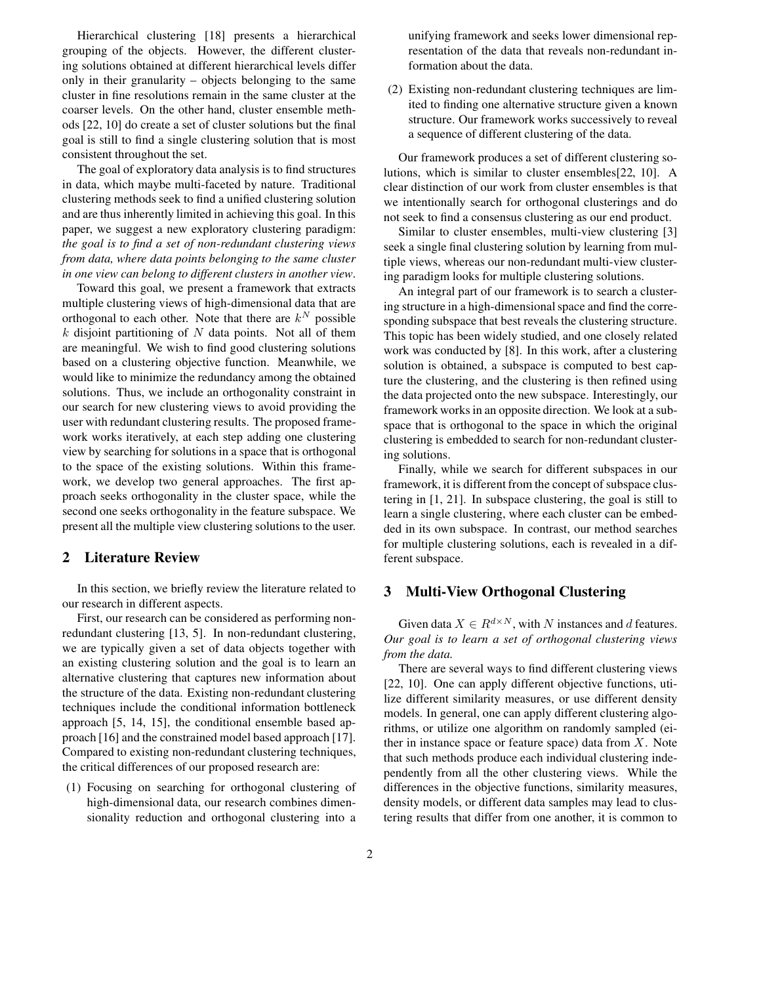Hierarchical clustering [18] presents a hierarchical grouping of the objects. However, the different clustering solutions obtained at different hierarchical levels differ only in their granularity – objects belonging to the same cluster in fine resolutions remain in the same cluster at the coarser levels. On the other hand, cluster ensemble methods [22, 10] do create a set of cluster solutions but the final goal is still to find a single clustering solution that is most consistent throughout the set.

The goal of exploratory data analysis is to find structures in data, which maybe multi-faceted by nature. Traditional clustering methods seek to find a unified clustering solution and are thus inherently limited in achieving this goal. In this paper, we suggest a new exploratory clustering paradigm: *the goal is to find a set of non-redundant clustering views from data, where data points belonging to the same cluster in one view can belong to different clusters in another view*.

Toward this goal, we present a framework that extracts multiple clustering views of high-dimensional data that are orthogonal to each other. Note that there are  $k^N$  possible  $k$  disjoint partitioning of  $N$  data points. Not all of them are meaningful. We wish to find good clustering solutions based on a clustering objective function. Meanwhile, we would like to minimize the redundancy among the obtained solutions. Thus, we include an orthogonality constraint in our search for new clustering views to avoid providing the user with redundant clustering results. The proposed framework works iteratively, at each step adding one clustering view by searching for solutions in a space that is orthogonal to the space of the existing solutions. Within this framework, we develop two general approaches. The first approach seeks orthogonality in the cluster space, while the second one seeks orthogonality in the feature subspace. We present all the multiple view clustering solutions to the user.

# **2 Literature Review**

In this section, we briefly review the literature related to our research in different aspects.

First, our research can be considered as performing nonredundant clustering [13, 5]. In non-redundant clustering, we are typically given a set of data objects together with an existing clustering solution and the goal is to learn an alternative clustering that captures new information about the structure of the data. Existing non-redundant clustering techniques include the conditional information bottleneck approach [5, 14, 15], the conditional ensemble based approach [16] and the constrained model based approach [17]. Compared to existing non-redundant clustering techniques, the critical differences of our proposed research are:

(1) Focusing on searching for orthogonal clustering of high-dimensional data, our research combines dimensionality reduction and orthogonal clustering into a

unifying framework and seeks lower dimensional representation of the data that reveals non-redundant information about the data.

(2) Existing non-redundant clustering techniques are limited to finding one alternative structure given a known structure. Our framework works successively to reveal a sequence of different clustering of the data.

Our framework produces a set of different clustering solutions, which is similar to cluster ensembles[22, 10]. A clear distinction of our work from cluster ensembles is that we intentionally search for orthogonal clusterings and do not seek to find a consensus clustering as our end product.

Similar to cluster ensembles, multi-view clustering [3] seek a single final clustering solution by learning from multiple views, whereas our non-redundant multi-view clustering paradigm looks for multiple clustering solutions.

An integral part of our framework is to search a clustering structure in a high-dimensional space and find the corresponding subspace that best reveals the clustering structure. This topic has been widely studied, and one closely related work was conducted by [8]. In this work, after a clustering solution is obtained, a subspace is computed to best capture the clustering, and the clustering is then refined using the data projected onto the new subspace. Interestingly, our framework works in an opposite direction. We look at a subspace that is orthogonal to the space in which the original clustering is embedded to search for non-redundant clustering solutions.

Finally, while we search for different subspaces in our framework, it is different from the concept of subspace clustering in [1, 21]. In subspace clustering, the goal is still to learn a single clustering, where each cluster can be embedded in its own subspace. In contrast, our method searches for multiple clustering solutions, each is revealed in a different subspace.

### **3 Multi-View Orthogonal Clustering**

Given data  $X \in R^{d \times N}$ , with N instances and d features. *Our goal is to learn a set of orthogonal clustering views from the data.*

There are several ways to find different clustering views [22, 10]. One can apply different objective functions, utilize different similarity measures, or use different density models. In general, one can apply different clustering algorithms, or utilize one algorithm on randomly sampled (either in instance space or feature space) data from  $X$ . Note that such methods produce each individual clustering independently from all the other clustering views. While the differences in the objective functions, similarity measures, density models, or different data samples may lead to clustering results that differ from one another, it is common to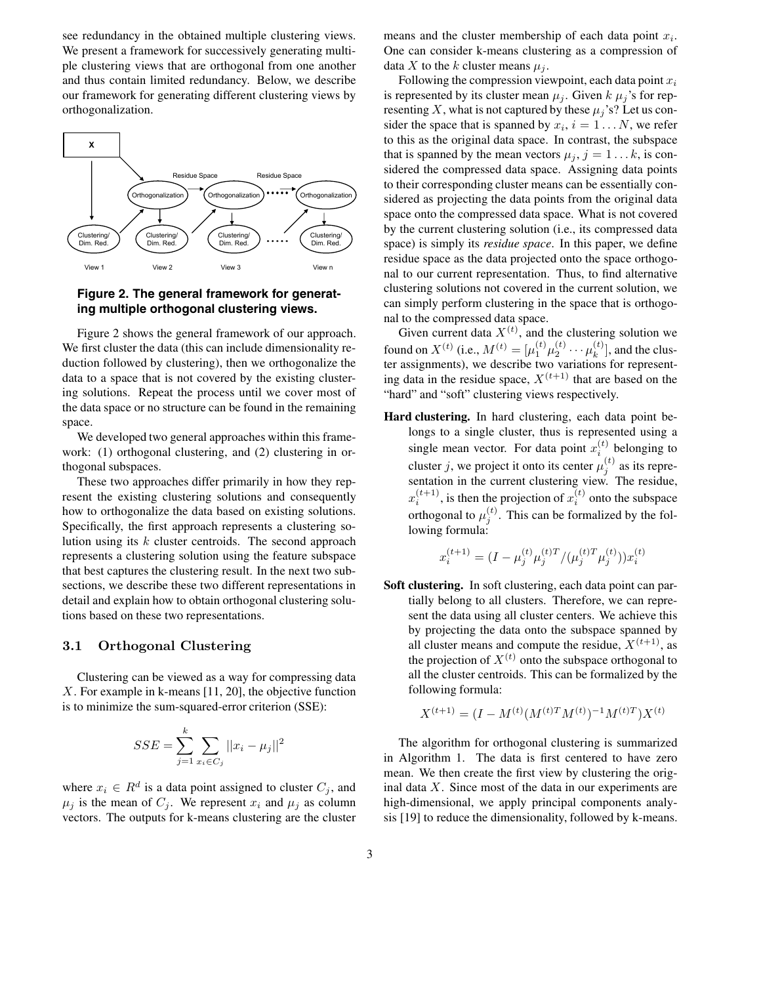see redundancy in the obtained multiple clustering views. We present a framework for successively generating multiple clustering views that are orthogonal from one another and thus contain limited redundancy. Below, we describe our framework for generating different clustering views by orthogonalization.



# **Figure 2. The general framework for generating multiple orthogonal clustering views.**

Figure 2 shows the general framework of our approach. We first cluster the data (this can include dimensionality reduction followed by clustering), then we orthogonalize the data to a space that is not covered by the existing clustering solutions. Repeat the process until we cover most of the data space or no structure can be found in the remaining space.

We developed two general approaches within this framework: (1) orthogonal clustering, and (2) clustering in orthogonal subspaces.

These two approaches differ primarily in how they represent the existing clustering solutions and consequently how to orthogonalize the data based on existing solutions. Specifically, the first approach represents a clustering solution using its k cluster centroids. The second approach represents a clustering solution using the feature subspace that best captures the clustering result. In the next two subsections, we describe these two different representations in detail and explain how to obtain orthogonal clustering solutions based on these two representations.

#### **3.1 Orthogonal Clustering**

Clustering can be viewed as a way for compressing data X. For example in k-means [11, 20], the objective function is to minimize the sum-squared-error criterion (SSE):

$$
SSE = \sum_{j=1}^{k} \sum_{x_i \in C_j} ||x_i - \mu_j||^2
$$

where  $x_i \in R^d$  is a data point assigned to cluster  $C_j$ , and  $\mu_j$  is the mean of  $C_j$ . We represent  $x_i$  and  $\mu_j$  as column vectors. The outputs for k-means clustering are the cluster means and the cluster membership of each data point x*i*. One can consider k-means clustering as a compression of data X to the k cluster means  $\mu_i$ .

Following the compression viewpoint, each data point  $x_i$ is represented by its cluster mean  $\mu_j$ . Given  $k \mu_j$ 's for representing X, what is not captured by these  $\mu_j$ 's? Let us consider the space that is spanned by  $x_i$ ,  $i = 1...N$ , we refer to this as the original data space. In contrast, the subspace that is spanned by the mean vectors  $\mu_j$ ,  $j = 1...k$ , is considered the compressed data space. Assigning data points to their corresponding cluster means can be essentially considered as projecting the data points from the original data space onto the compressed data space. What is not covered by the current clustering solution (i.e., its compressed data space) is simply its *residue space*. In this paper, we define residue space as the data projected onto the space orthogonal to our current representation. Thus, to find alternative clustering solutions not covered in the current solution, we can simply perform clustering in the space that is orthogonal to the compressed data space.

Given current data  $X^{(t)}$ , and the clustering solution we found on  $X^{(t)}$  (i.e.,  $M^{(t)} = [\mu_1^{(t)} \mu_2^{(t)} \cdots \mu_k^{(t)}]$ , and the cluster assignments), we describe two variations for representing data in the residue space,  $X^{(t+1)}$  that are based on the "hard" and "soft" clustering views respectively.

**Hard clustering.** In hard clustering, each data point belongs to a single cluster, thus is represented using a single mean vector. For data point  $x_i^{(t)}$  belonging to cluster j, we project it onto its center  $\mu_j^{(t)}$  as its representation in the current clustering view. The residue,  $x_i^{(t+1)}$ , is then the projection of  $x_i^{(t)}$  onto the subspace orthogonal to  $\mu_j^{(t)}$ . This can be formalized by the following formula:

$$
x_i^{(t+1)} = (I - \mu_j^{(t)} \mu_j^{(t)T} / (\mu_j^{(t)T} \mu_j^{(t)}) x_i^{(t)}
$$

**Soft clustering.** In soft clustering, each data point can partially belong to all clusters. Therefore, we can represent the data using all cluster centers. We achieve this by projecting the data onto the subspace spanned by all cluster means and compute the residue,  $X^{(t+1)}$ , as the projection of  $X^{(t)}$  onto the subspace orthogonal to all the cluster centroids. This can be formalized by the following formula:

$$
X^{(t+1)} = (I - M^{(t)} (M^{(t)T} M^{(t)})^{-1} M^{(t)T}) X^{(t)}
$$

The algorithm for orthogonal clustering is summarized in Algorithm 1. The data is first centered to have zero mean. We then create the first view by clustering the original data  $X$ . Since most of the data in our experiments are high-dimensional, we apply principal components analysis [19] to reduce the dimensionality, followed by k-means.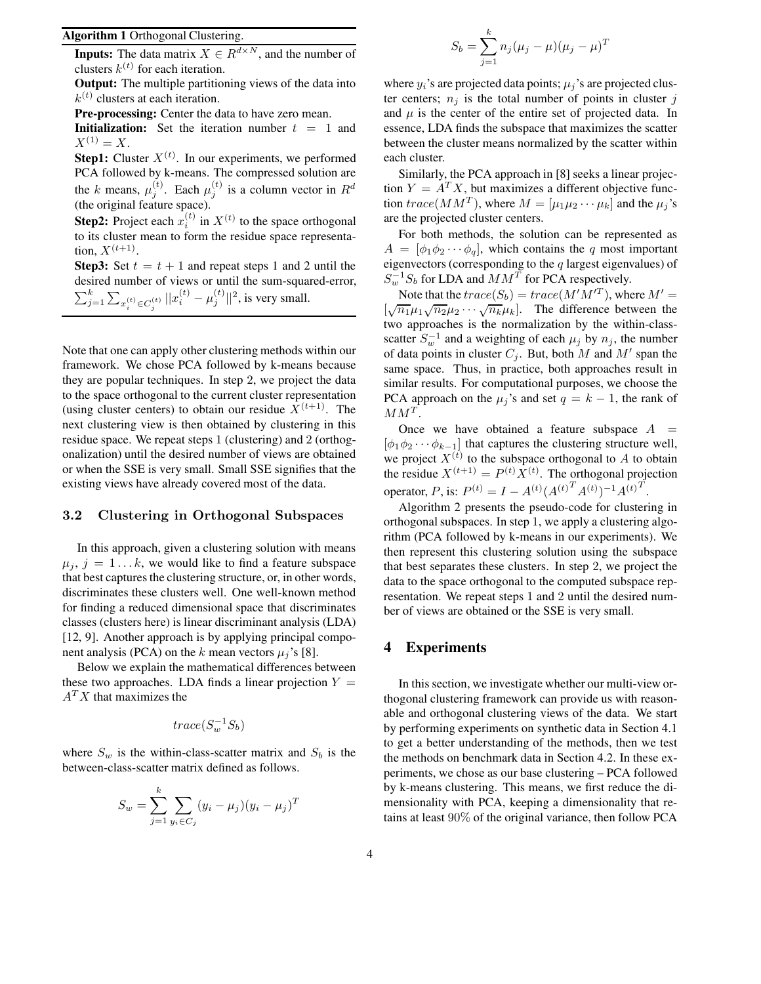#### **Algorithm 1** Orthogonal Clustering.

**Inputs:** The data matrix  $X \in R^{d \times N}$ , and the number of clusters  $k^{(t)}$  for each iteration.

**Output:** The multiple partitioning views of the data into  $k^{(t)}$  clusters at each iteration.

**Pre-processing:** Center the data to have zero mean.

**Initialization:** Set the iteration number  $t = 1$  and  $X^{(1)} = X.$ 

**Step1:** Cluster  $X^{(t)}$ . In our experiments, we performed PCA followed by k-means. The compressed solution are the k means,  $\mu_i^{(t)}$ . Each  $\mu_j^{(t)}$  is a column vector in  $R^d$ (the original feature space).

**Step2:** Project each  $x_i^{(t)}$  in  $X^{(t)}$  to the space orthogonal to its cluster mean to form the residue space representation,  $X^{(t+1)}$ .

**Step3:** Set  $t = t + 1$  and repeat steps 1 and 2 until the desired number of views or until the sum-squared-error,  $\sum_{j=1}^{k} \sum_{x_i^{(t)} \in C_j^{(t)}} ||x_i^{(t)} - \mu_j^{(t)}||^2$ , is very small.

Note that one can apply other clustering methods within our framework. We chose PCA followed by k-means because they are popular techniques. In step 2, we project the data to the space orthogonal to the current cluster representation (using cluster centers) to obtain our residue  $X^{(t+1)}$ . The next clustering view is then obtained by clustering in this residue space. We repeat steps 1 (clustering) and 2 (orthogonalization) until the desired number of views are obtained or when the SSE is very small. Small SSE signifies that the existing views have already covered most of the data.

#### $3.2$ **3.2 Clustering in Orthogonal Subspaces**

In this approach, given a clustering solution with means  $\mu_i$ ,  $j = 1...k$ , we would like to find a feature subspace that best captures the clustering structure, or, in other words, discriminates these clusters well. One well-known method for finding a reduced dimensional space that discriminates classes (clusters here) is linear discriminant analysis (LDA) [12, 9]. Another approach is by applying principal component analysis (PCA) on the k mean vectors  $\mu_j$ 's [8].

Below we explain the mathematical differences between these two approaches. LDA finds a linear projection  $Y =$  $A^T X$  that maximizes the

$$
trace(S_w^{-1}S_b)
$$

where  $S_w$  is the within-class-scatter matrix and  $S_b$  is the between-class-scatter matrix defined as follows.

$$
S_w = \sum_{j=1}^{k} \sum_{y_i \in C_j} (y_i - \mu_j)(y_i - \mu_j)^T
$$

$$
S_b = \sum_{j=1}^{k} n_j (\mu_j - \mu) (\mu_j - \mu)^T
$$

where  $y_i$ 's are projected data points;  $\mu_i$ 's are projected cluster centers;  $n_j$  is the total number of points in cluster j and  $\mu$  is the center of the entire set of projected data. In essence, LDA finds the subspace that maximizes the scatter between the cluster means normalized by the scatter within each cluster.

Similarly, the PCA approach in [8] seeks a linear projection  $Y = A^T X$ , but maximizes a different objective function  $trace(MM^T)$ , where  $M = [\mu_1 \mu_2 \cdots \mu_k]$  and the  $\mu_j$ 's are the projected cluster centers.

For both methods, the solution can be represented as  $A = [\phi_1 \phi_2 \cdots \phi_n]$ , which contains the q most important eigenvectors (corresponding to the  $q$  largest eigenvalues) of  $S_w^{-1}S_b$  for LDA and  $MM^T$  for PCA respectively.

Note that the  $trace(S_b) = trace(M'M'^T)$ , where  $M' =$ Note that the trace  $(b_6)$  = trace  $(M/M)$ , where  $M =$ <br> $[\sqrt{n_1}\mu_1\sqrt{n_2}\mu_2\cdots\sqrt{n_k}\mu_k]$ . The difference between the two approaches is the normalization by the within-classscatter  $S_w^{-1}$  and a weighting of each  $\mu_j$  by  $n_j$ , the number of data points in cluster  $C_j$ . But, both M and M' span the same space. Thus, in practice, both approaches result in similar results. For computational purposes, we choose the PCA approach on the  $\mu_j$ 's and set  $q = k - 1$ , the rank of  $MM^T$ .

Once we have obtained a feature subspace  $A =$  $[\phi_1 \phi_2 \cdots \phi_{k-1}]$  that captures the clustering structure well, we project  $X^{(t)}$  to the subspace orthogonal to A to obtain the residue  $X^{(t+1)} = P^{(t)} \overline{X}^{(t)}$ . The orthogonal projection operator, P, is:  $P^{(t)} = I - A^{(t)} (A^{(t)}^T A^{(t)})^{-1} A^{(t)}^T$ .

Algorithm 2 presents the pseudo-code for clustering in orthogonal subspaces. In step 1, we apply a clustering algorithm (PCA followed by k-means in our experiments). We then represent this clustering solution using the subspace that best separates these clusters. In step 2, we project the data to the space orthogonal to the computed subspace representation. We repeat steps 1 and 2 until the desired number of views are obtained or the SSE is very small.

# **4 Experiments**

In this section, we investigate whether our multi-view orthogonal clustering framework can provide us with reasonable and orthogonal clustering views of the data. We start by performing experiments on synthetic data in Section 4.1 to get a better understanding of the methods, then we test the methods on benchmark data in Section 4.2. In these experiments, we chose as our base clustering – PCA followed by k-means clustering. This means, we first reduce the dimensionality with PCA, keeping a dimensionality that retains at least 90% of the original variance, then follow PCA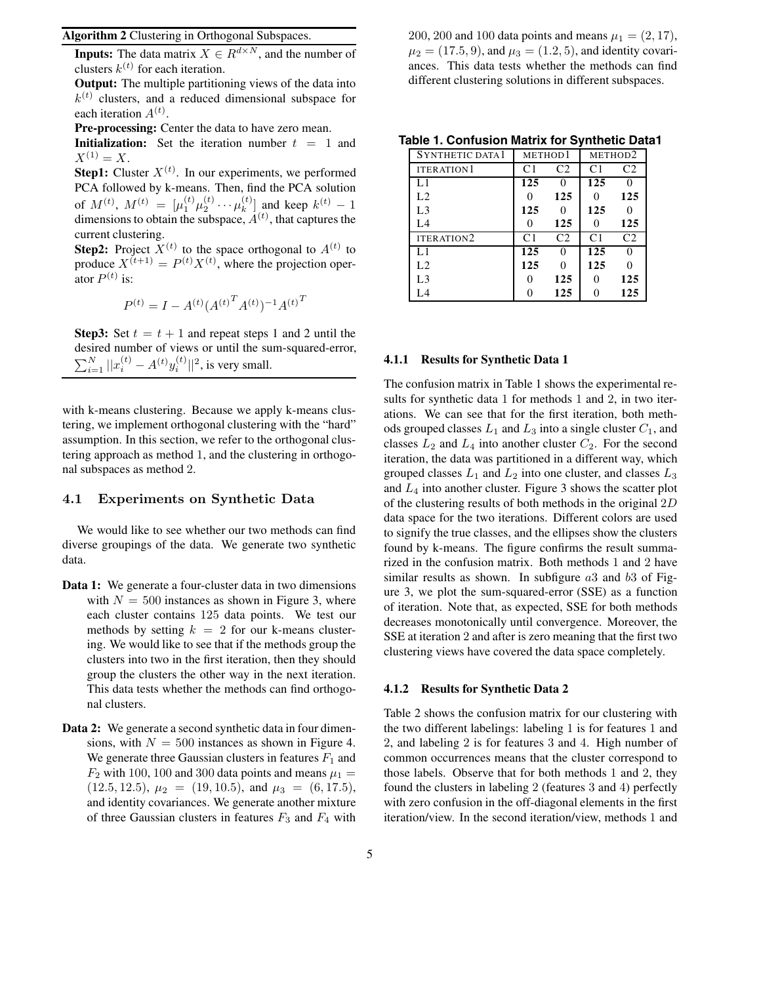#### **Algorithm 2** Clustering in Orthogonal Subspaces.

**Inputs:** The data matrix  $X \in R^{d \times N}$ , and the number of clusters  $k^{(t)}$  for each iteration.

**Output:** The multiple partitioning views of the data into  $k^{(t)}$  clusters, and a reduced dimensional subspace for each iteration  $A^{(t)}$ .

**Pre-processing:** Center the data to have zero mean.

**Initialization:** Set the iteration number  $t = 1$  and  $X^{(1)} = X$ .

**Step1:** Cluster  $X^{(t)}$ . In our experiments, we performed PCA followed by k-means. Then, find the PCA solution of  $M^{(t)}$ ,  $M^{(t)} = [\mu_1^{(t)} \mu_2^{(t)} \cdots \mu_k^{(t)}]$  and keep  $k^{(t)} - 1$ dimensions to obtain the subspace,  $A^{(t)}$ , that captures the current clustering.

**Step2:** Project  $X^{(t)}$  to the space orthogonal to  $A^{(t)}$  to produce  $X^{(t+1)} = P^{(t)} X^{(t)}$ , where the projection operator  $P^{(t)}$  is:

$$
P^{(t)} = I - A^{(t)} (A^{(t)}^T A^{(t)})^{-1} A^{(t)}
$$

**Step3:** Set  $t = t + 1$  and repeat steps 1 and 2 until the desired number of views or until the sum-squared-error,  $\sum_{i=1}^{N} ||x_i^{(t)} - A^{(t)}y_i^{(t)}||^2$ , is very small.

with k-means clustering. Because we apply k-means clustering, we implement orthogonal clustering with the "hard" assumption. In this section, we refer to the orthogonal clustering approach as method 1, and the clustering in orthogonal subspaces as method 2.

# **4.1 Experiments on Synthetic Data**

We would like to see whether our two methods can find diverse groupings of the data. We generate two synthetic data.

- **Data 1:** We generate a four-cluster data in two dimensions with  $N = 500$  instances as shown in Figure 3, where each cluster contains 125 data points. We test our methods by setting  $k = 2$  for our k-means clustering. We would like to see that if the methods group the clusters into two in the first iteration, then they should group the clusters the other way in the next iteration. This data tests whether the methods can find orthogonal clusters.
- **Data 2:** We generate a second synthetic data in four dimensions, with  $N = 500$  instances as shown in Figure 4. We generate three Gaussian clusters in features  $F_1$  and  $F_2$  with 100, 100 and 300 data points and means  $\mu_1 =$  $(12.5, 12.5), \mu_2 = (19, 10.5), \text{ and } \mu_3 = (6, 17.5),$ and identity covariances. We generate another mixture of three Gaussian clusters in features  $F_3$  and  $F_4$  with

200, 200 and 100 data points and means  $\mu_1 = (2, 17)$ ,  $\mu_2 = (17.5, 9)$ , and  $\mu_3 = (1.2, 5)$ , and identity covariances. This data tests whether the methods can find different clustering solutions in different subspaces.

| <b>Table 1. Confusion Matrix for Synthetic Data1</b> |  |  |
|------------------------------------------------------|--|--|
|------------------------------------------------------|--|--|

| SYNTHETIC DATA 1 | METHOD <sub>1</sub> |                |                | METHOD <sub>2</sub> |
|------------------|---------------------|----------------|----------------|---------------------|
| <b>ITERATION</b> | C <sub>1</sub>      | C <sub>2</sub> | C <sub>1</sub> | C2                  |
| L1               | 125                 | ∩              | 125            |                     |
| L <sub>2</sub>   | 0                   | 125            |                | 125                 |
| L <sub>3</sub>   | 125                 | 0              | 125            |                     |
| L4               | 0                   | 125            |                | 125                 |
| ITERATION2       | C <sub>1</sub>      | C <sub>2</sub> | C <sub>1</sub> | C2                  |
| L1               | 125                 | 0              | 125            | $\mathbf{\Omega}$   |
| L <sub>2</sub>   | 125                 | 0              | 125            |                     |
| L <sub>3</sub>   | 0                   | 125            |                | 125                 |
| L4               |                     | 125            |                | 125                 |

#### **4.1.1 Results for Synthetic Data 1**

The confusion matrix in Table 1 shows the experimental results for synthetic data 1 for methods 1 and 2, in two iterations. We can see that for the first iteration, both methods grouped classes  $L_1$  and  $L_3$  into a single cluster  $C_1$ , and classes  $L_2$  and  $L_4$  into another cluster  $C_2$ . For the second iteration, the data was partitioned in a different way, which grouped classes  $L_1$  and  $L_2$  into one cluster, and classes  $L_3$ and  $L_4$  into another cluster. Figure 3 shows the scatter plot of the clustering results of both methods in the original 2D data space for the two iterations. Different colors are used to signify the true classes, and the ellipses show the clusters found by k-means. The figure confirms the result summarized in the confusion matrix. Both methods 1 and 2 have similar results as shown. In subfigure  $a3$  and  $b3$  of Figure 3, we plot the sum-squared-error (SSE) as a function of iteration. Note that, as expected, SSE for both methods decreases monotonically until convergence. Moreover, the SSE at iteration 2 and after is zero meaning that the first two clustering views have covered the data space completely.

#### **4.1.2 Results for Synthetic Data 2**

Table 2 shows the confusion matrix for our clustering with the two different labelings: labeling 1 is for features 1 and 2, and labeling 2 is for features 3 and 4. High number of common occurrences means that the cluster correspond to those labels. Observe that for both methods 1 and 2, they found the clusters in labeling 2 (features 3 and 4) perfectly with zero confusion in the off-diagonal elements in the first iteration/view. In the second iteration/view, methods 1 and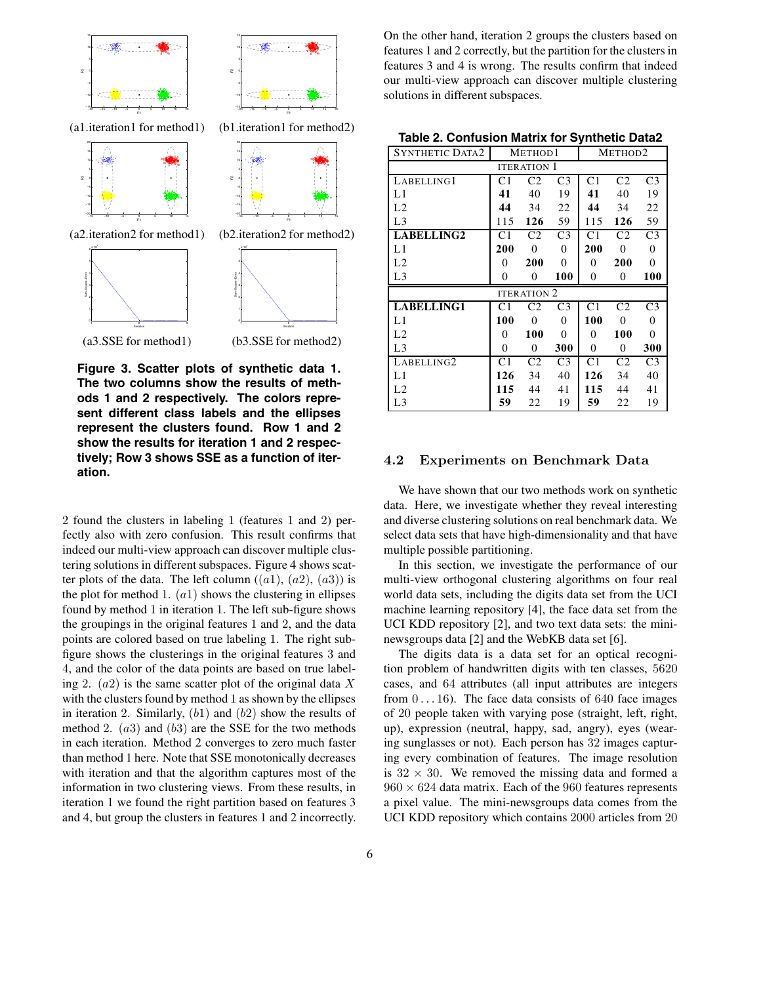



(a1.iteration1 for method1) (b1.iteration1 for method2)





## $\frac{1}{1}$   $\frac{2}{3}$   $\frac{3}{3}$ Iteration

2 3 4

Sum−Square−Error

(a3.SSE for method1) (b3.SSE for method2)

**Figure 3. Scatter plots of synthetic data 1. The two columns show the results of methods 1 and 2 respectively. The colors represent different class labels and the ellipses represent the clusters found. Row 1 and 2 show the results for iteration 1 and 2 respectively; Row 3 shows SSE as a function of iteration.**

2 found the clusters in labeling 1 (features 1 and 2) perfectly also with zero confusion. This result confirms that indeed our multi-view approach can discover multiple clustering solutions in different subspaces. Figure 4 shows scatter plots of the data. The left column  $((a1), (a2), (a3))$  is the plot for method 1.  $(a1)$  shows the clustering in ellipses found by method 1 in iteration 1. The left sub-figure shows the groupings in the original features 1 and 2, and the data points are colored based on true labeling 1. The right subfigure shows the clusterings in the original features 3 and 4, and the color of the data points are based on true labeling 2.  $(a2)$  is the same scatter plot of the original data X with the clusters found by method 1 as shown by the ellipses in iteration 2. Similarly,  $(b1)$  and  $(b2)$  show the results of method 2.  $(a3)$  and  $(b3)$  are the SSE for the two methods in each iteration. Method 2 converges to zero much faster than method 1 here. Note that SSE monotonically decreases with iteration and that the algorithm captures most of the information in two clustering views. From these results, in iteration 1 we found the right partition based on features 3 and 4, but group the clusters in features 1 and 2 incorrectly. On the other hand, iteration 2 groups the clusters based on features 1 and 2 correctly, but the partition for the clusters in features 3 and 4 is wrong. The results confirm that indeed our multi-view approach can discover multiple clustering solutions in different subspaces.

| Table 2. Confusion Matrix for Synthetic Data2 |  |  |  |  |
|-----------------------------------------------|--|--|--|--|
|-----------------------------------------------|--|--|--|--|

| <b>SYNTHETIC DATA2</b> | METHOD1        |                    | METHOD <sub>2</sub> |                |                |                  |  |
|------------------------|----------------|--------------------|---------------------|----------------|----------------|------------------|--|
| <b>ITERATION 1</b>     |                |                    |                     |                |                |                  |  |
| LABELLING1             | C1             | C <sub>2</sub>     | C <sub>3</sub>      | C <sub>1</sub> | C <sub>2</sub> | C <sub>3</sub>   |  |
| L1                     | 41             | 40                 | 19                  | 41             | 40             | 19               |  |
| L <sub>2</sub>         | 44             | 34                 | 22                  | 44             | 34             | 22               |  |
| L <sub>3</sub>         | 115            | 126                | 59                  | 115            | 126            | 59               |  |
| <b>LABELLING2</b>      | C1             | C <sub>2</sub>     | C <sub>3</sub>      | C <sub>1</sub> | C <sub>2</sub> | C <sub>3</sub>   |  |
| L1                     | 200            | $\Omega$           | $\Omega$            | 200            | $\theta$       | $\Omega$         |  |
| L <sub>2</sub>         | 0              | 200                | $\Omega$            | 0              | 200            | $\Omega$         |  |
| L <sub>3</sub>         | 0              | 0                  | 100                 | 0              | 0              | 100              |  |
|                        |                | <b>ITERATION 2</b> |                     |                |                |                  |  |
| <b>LABELLING1</b>      | C1             | C2                 | C <sub>3</sub>      | C <sub>1</sub> | C <sub>2</sub> | C <sub>3</sub>   |  |
| L1                     | 100            | $\Omega$           | $\Omega$            | 100            | 0              | $\Omega$         |  |
| L <sub>2</sub>         | 0              | 100                | $\Omega$            | 0              | 100            | $\boldsymbol{0}$ |  |
| L <sub>3</sub>         | 0              | $\theta$           | 300                 | 0              | 0              | 300              |  |
| LABELLING2             | C <sub>1</sub> | C <sub>2</sub>     | C <sub>3</sub>      | C <sub>1</sub> | C <sub>2</sub> | C <sub>3</sub>   |  |
| L1                     | 126            | 34                 | 40                  | 126            | 34             | 40               |  |
| L2                     | 115            | 44                 | 41                  | 115            | 44             | 41               |  |
| L <sub>3</sub>         | 59             | 22                 | 19                  | 59             | 22             | 19               |  |

#### **4.2 Experiments on Benchmark Data**

We have shown that our two methods work on synthetic data. Here, we investigate whether they reveal interesting and diverse clustering solutions on real benchmark data. We select data sets that have high-dimensionality and that have multiple possible partitioning.

In this section, we investigate the performance of our multi-view orthogonal clustering algorithms on four real world data sets, including the digits data set from the UCI machine learning repository [4], the face data set from the UCI KDD repository [2], and two text data sets: the mininewsgroups data [2] and the WebKB data set [6].

The digits data is a data set for an optical recognition problem of handwritten digits with ten classes, 5620 cases, and 64 attributes (all input attributes are integers from  $0 \dots 16$ ). The face data consists of 640 face images of 20 people taken with varying pose (straight, left, right, up), expression (neutral, happy, sad, angry), eyes (wearing sunglasses or not). Each person has 32 images capturing every combination of features. The image resolution is  $32 \times 30$ . We removed the missing data and formed a  $960 \times 624$  data matrix. Each of the 960 features represents a pixel value. The mini-newsgroups data comes from the UCI KDD repository which contains 2000 articles from 20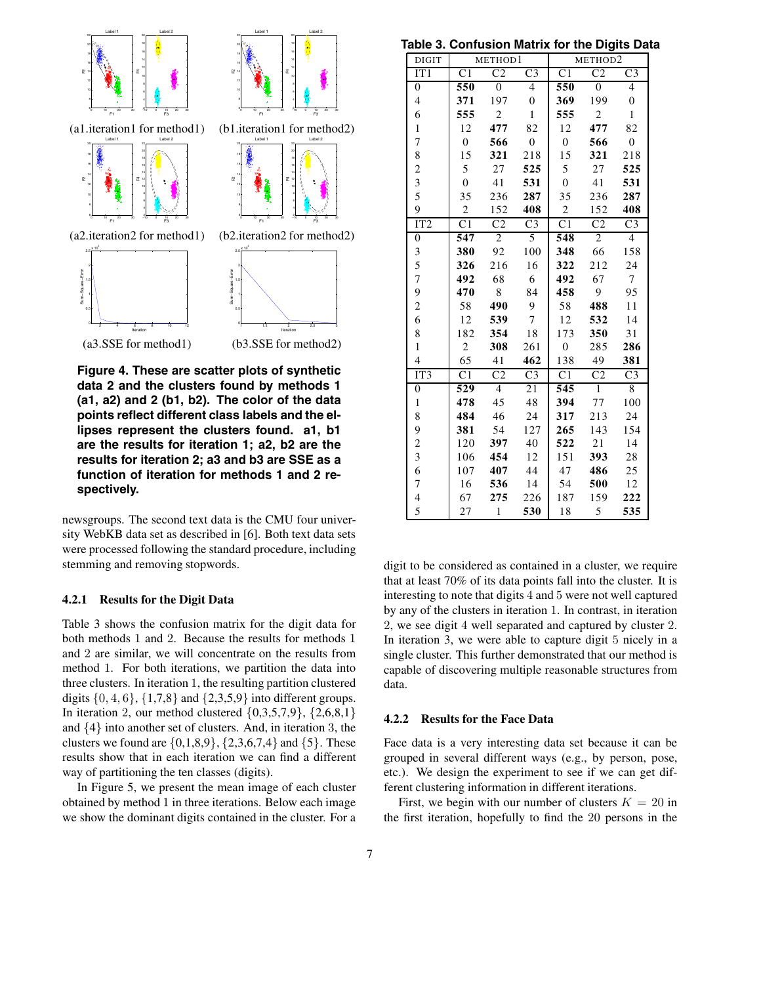

**Figure 4. These are scatter plots of synthetic data 2 and the clusters found by methods 1 (a1, a2) and 2 (b1, b2). The color of the data points reflect different class labels and the ellipses represent the clusters found. a1, b1 are the results for iteration 1; a2, b2 are the results for iteration 2; a3 and b3 are SSE as a function of iteration for methods 1 and 2 respectively.**

newsgroups. The second text data is the CMU four university WebKB data set as described in [6]. Both text data sets were processed following the standard procedure, including stemming and removing stopwords.

#### **4.2.1 Results for the Digit Data**

Table 3 shows the confusion matrix for the digit data for both methods 1 and 2. Because the results for methods 1 and 2 are similar, we will concentrate on the results from method 1. For both iterations, we partition the data into three clusters. In iteration 1, the resulting partition clustered digits  $\{0, 4, 6\}, \{1, 7, 8\}$  and  $\{2, 3, 5, 9\}$  into different groups. In iteration 2, our method clustered  $\{0,3,5,7,9\}, \{2,6,8,1\}$ and {4} into another set of clusters. And, in iteration 3, the clusters we found are  $\{0,1,8,9\}$ ,  $\{2,3,6,7,4\}$  and  $\{5\}$ . These results show that in each iteration we can find a different way of partitioning the ten classes (digits).

In Figure 5, we present the mean image of each cluster obtained by method 1 in three iterations. Below each image we show the dominant digits contained in the cluster. For a

**Table 3. Confusion Matrix for the Digits Data**

| <b>DIGIT</b>            | METHOD1                                              |                 |                 | METHOD <sub>2</sub> |                 |                  |  |
|-------------------------|------------------------------------------------------|-----------------|-----------------|---------------------|-----------------|------------------|--|
| IT1                     | $\overline{C}$<br>$\overline{C2}$<br>$\overline{C}3$ |                 | $\overline{C1}$ | $\overline{C2}$     | $\overline{C}3$ |                  |  |
| $\overline{0}$          | 550                                                  | $\overline{0}$  | $\overline{4}$  | 550                 | $\overline{0}$  | $\overline{4}$   |  |
| 4                       | 371                                                  | 197             | $\overline{0}$  | 369                 | 199             | $\boldsymbol{0}$ |  |
| 6                       | 555                                                  | $\overline{c}$  | $\mathbf{1}$    | 555                 | $\overline{c}$  | $\mathbf{1}$     |  |
| $\mathbf{1}$            | 12                                                   | 477             | 82              | 12                  | 477             | 82               |  |
| 7                       | $\overline{0}$                                       | 566             | $\overline{0}$  | $\overline{0}$      | 566             | $\overline{0}$   |  |
| 8                       | 15                                                   | 321             | 218             | 15                  | 321             | 218              |  |
| $\overline{c}$          | 5                                                    | 27              | 525             | 5                   | 27              | 525              |  |
| $\overline{\mathbf{3}}$ | $\mathbf{0}$                                         | 41              | 531             | $\overline{0}$      | 41              | 531              |  |
| 5                       | 35                                                   | 236             | 287             | 35                  | 236             | 287              |  |
| 9                       | $\overline{2}$                                       | 152             | 408             | $\overline{2}$      | 152             | 408              |  |
| IT <sub>2</sub>         | $\overline{C1}$                                      | $\overline{C2}$ | $\overline{C}3$ | $\overline{C1}$     | $\overline{C2}$ | $\overline{C}3$  |  |
| $\boldsymbol{0}$        | 547                                                  | $\overline{2}$  | 5               | 548                 | $\overline{2}$  | $\overline{4}$   |  |
| 3                       | 380                                                  | 92              | 100             | 348                 | 66              | 158              |  |
| 5                       | 326                                                  | 216             | 16              | 322                 | 212             | 24               |  |
| 7                       | 492                                                  | 68              | 6               | 492                 | 67              | $\overline{7}$   |  |
| 9                       | 470                                                  | 8               | 84              | 458                 | 9               | 95               |  |
| $\overline{c}$          | 58                                                   | 490             | 9               | 58                  | 488             | 11               |  |
| 6                       | 12                                                   | 539             | $\tau$          | 12                  | 532             | 14               |  |
| 8                       | 182                                                  | 354             | 18              | 173                 | 350             | 31               |  |
| $\mathbf{1}$            | $\overline{c}$                                       | 308             | 261             | $\boldsymbol{0}$    | 285             | 286              |  |
| $\overline{4}$          | 65                                                   | 41              | 462             | 138                 | 49              | 381              |  |
| IT3                     | $\overline{C1}$                                      | C <sub>2</sub>  | C <sub>3</sub>  | C <sub>1</sub>      | $\overline{C2}$ | $\overline{C}3$  |  |
| $\overline{0}$          | 529                                                  | $\overline{4}$  | 21              | $\frac{1}{545}$     | $\mathbf{1}$    | 8                |  |
| $\mathbf{1}$            | 478                                                  | 45              | 48              | 394                 | 77              | 100              |  |
| 8                       | 484                                                  | 46              | 24              | 317                 | 213             | 24               |  |
| 9                       | 381                                                  | 54              | 127             | 265                 | 143             | 154              |  |
| $\overline{c}$          | 120                                                  | 397             | 40              | 522                 | 21              | 14               |  |
| $\overline{\mathbf{3}}$ | 106                                                  | 454             | 12              | 151                 | 393             | 28               |  |
| 6                       | 107                                                  | 407             | 44              | 47                  | 486             | 25               |  |
| 7                       | 16                                                   | 536             | 14              | 54                  | 500             | 12               |  |
| $\overline{4}$          | 67                                                   | 275             | 226             | 187                 | 159             | 222              |  |
| 5                       | 27                                                   | $\mathbf{1}$    | 530             | 18                  | 5               | 535              |  |

digit to be considered as contained in a cluster, we require that at least 70% of its data points fall into the cluster. It is interesting to note that digits 4 and 5 were not well captured by any of the clusters in iteration 1. In contrast, in iteration 2, we see digit 4 well separated and captured by cluster 2. In iteration 3, we were able to capture digit 5 nicely in a single cluster. This further demonstrated that our method is capable of discovering multiple reasonable structures from data.

#### **4.2.2 Results for the Face Data**

Face data is a very interesting data set because it can be grouped in several different ways (e.g., by person, pose, etc.). We design the experiment to see if we can get different clustering information in different iterations.

First, we begin with our number of clusters  $K = 20$  in the first iteration, hopefully to find the 20 persons in the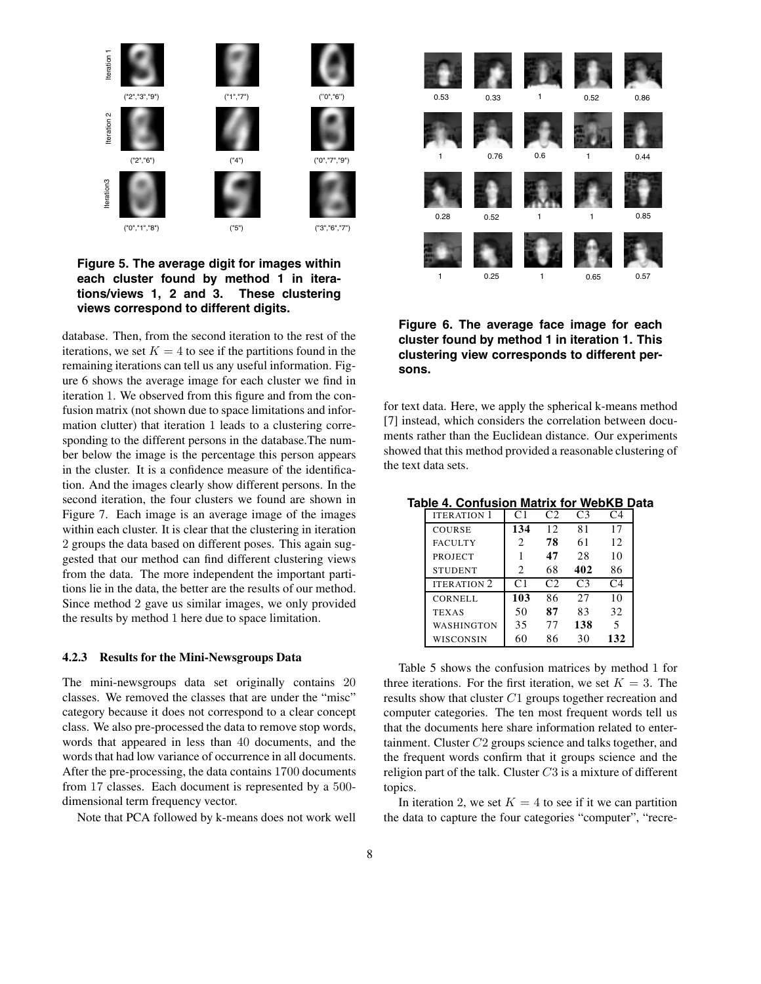

# **Figure 5. The average digit for images within each cluster found by method 1 in iterations/views 1, 2 and 3. These clustering views correspond to different digits.**

database. Then, from the second iteration to the rest of the iterations, we set  $K = 4$  to see if the partitions found in the remaining iterations can tell us any useful information. Figure 6 shows the average image for each cluster we find in iteration 1. We observed from this figure and from the confusion matrix (not shown due to space limitations and information clutter) that iteration 1 leads to a clustering corresponding to the different persons in the database.The number below the image is the percentage this person appears in the cluster. It is a confidence measure of the identification. And the images clearly show different persons. In the second iteration, the four clusters we found are shown in Figure 7. Each image is an average image of the images within each cluster. It is clear that the clustering in iteration 2 groups the data based on different poses. This again suggested that our method can find different clustering views from the data. The more independent the important partitions lie in the data, the better are the results of our method. Since method 2 gave us similar images, we only provided the results by method 1 here due to space limitation.

#### **4.2.3 Results for the Mini-Newsgroups Data**

The mini-newsgroups data set originally contains 20 classes. We removed the classes that are under the "misc" category because it does not correspond to a clear concept class. We also pre-processed the data to remove stop words, words that appeared in less than 40 documents, and the words that had low variance of occurrence in all documents. After the pre-processing, the data contains 1700 documents from 17 classes. Each document is represented by a 500 dimensional term frequency vector.

Note that PCA followed by k-means does not work well



## **Figure 6. The average face image for each cluster found by method 1 in iteration 1. This clustering view corresponds to different persons.**

for text data. Here, we apply the spherical k-means method [7] instead, which considers the correlation between documents rather than the Euclidean distance. Our experiments showed that this method provided a reasonable clustering of the text data sets.

| <b>ITERATION 1</b> | C <sub>1</sub> | C2 | C <sub>3</sub> | C4  |
|--------------------|----------------|----|----------------|-----|
| <b>COURSE</b>      | 134            | 12 | 81             | 17  |
| <b>FACULTY</b>     | 2              | 78 | 61             | 12  |
| <b>PROJECT</b>     |                | 47 | 28             | 10  |
| <b>STUDENT</b>     | 2              | 68 | 402            | 86  |
| ITERATION 2        | C <sub>1</sub> | C2 | C <sub>3</sub> | C4  |
| <b>CORNELL</b>     | 103            | 86 | 27             | 10  |
| <b>TEXAS</b>       | 50             | 87 | 83             | 32  |
| WASHINGTON         | 35             | 77 | 138            | 5   |
| WISCONSIN          | 60             | 86 | 30             | 132 |
|                    |                |    |                |     |

**Table 4. Confusion Matrix for WebKB Data**

Table 5 shows the confusion matrices by method 1 for three iterations. For the first iteration, we set  $K = 3$ . The results show that cluster C1 groups together recreation and computer categories. The ten most frequent words tell us that the documents here share information related to entertainment. Cluster C2 groups science and talks together, and the frequent words confirm that it groups science and the religion part of the talk. Cluster  $C3$  is a mixture of different topics.

In iteration 2, we set  $K = 4$  to see if it we can partition the data to capture the four categories "computer", "recre-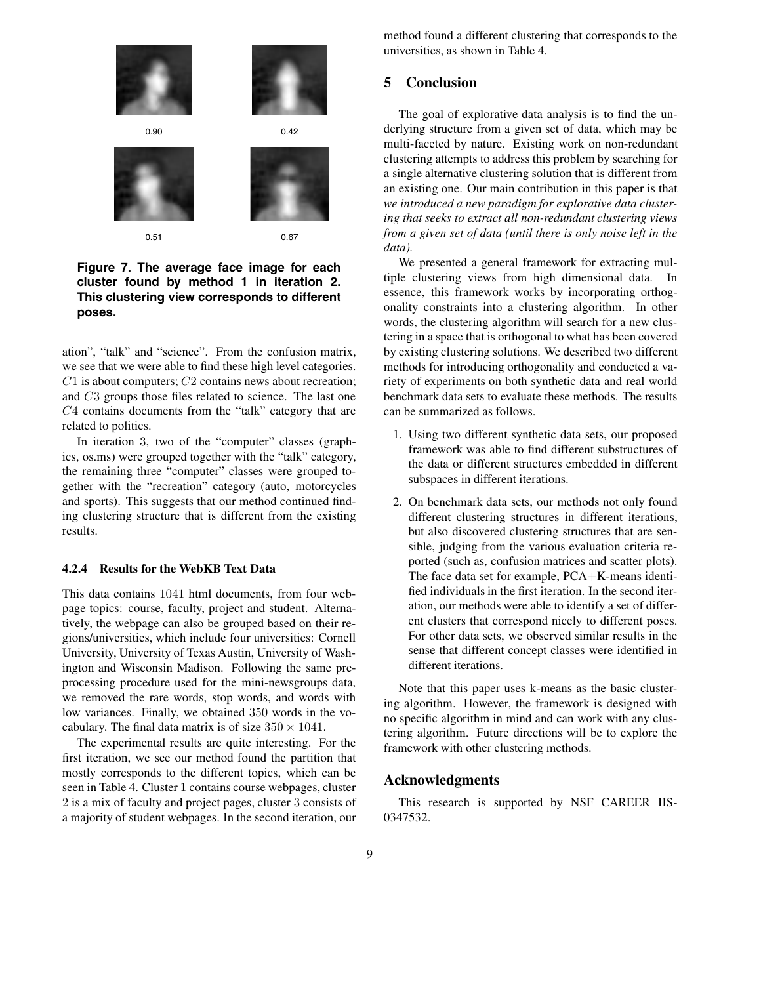

# **Figure 7. The average face image for each cluster found by method 1 in iteration 2. This clustering view corresponds to different poses.**

ation", "talk" and "science". From the confusion matrix, we see that we were able to find these high level categories. C1 is about computers; C2 contains news about recreation; and C3 groups those files related to science. The last one C4 contains documents from the "talk" category that are related to politics.

In iteration 3, two of the "computer" classes (graphics, os.ms) were grouped together with the "talk" category, the remaining three "computer" classes were grouped together with the "recreation" category (auto, motorcycles and sports). This suggests that our method continued finding clustering structure that is different from the existing results.

#### **4.2.4 Results for the WebKB Text Data**

This data contains 1041 html documents, from four webpage topics: course, faculty, project and student. Alternatively, the webpage can also be grouped based on their regions/universities, which include four universities: Cornell University, University of Texas Austin, University of Washington and Wisconsin Madison. Following the same preprocessing procedure used for the mini-newsgroups data, we removed the rare words, stop words, and words with low variances. Finally, we obtained 350 words in the vocabulary. The final data matrix is of size  $350 \times 1041$ .

The experimental results are quite interesting. For the first iteration, we see our method found the partition that mostly corresponds to the different topics, which can be seen in Table 4. Cluster 1 contains course webpages, cluster 2 is a mix of faculty and project pages, cluster 3 consists of a majority of student webpages. In the second iteration, our

method found a different clustering that corresponds to the universities, as shown in Table 4.

# **5 Conclusion**

The goal of explorative data analysis is to find the underlying structure from a given set of data, which may be multi-faceted by nature. Existing work on non-redundant clustering attempts to address this problem by searching for a single alternative clustering solution that is different from an existing one. Our main contribution in this paper is that *we introduced a new paradigm for explorative data clustering that seeks to extract all non-redundant clustering views from a given set of data (until there is only noise left in the data).*

We presented a general framework for extracting multiple clustering views from high dimensional data. In essence, this framework works by incorporating orthogonality constraints into a clustering algorithm. In other words, the clustering algorithm will search for a new clustering in a space that is orthogonal to what has been covered by existing clustering solutions. We described two different methods for introducing orthogonality and conducted a variety of experiments on both synthetic data and real world benchmark data sets to evaluate these methods. The results can be summarized as follows.

- 1. Using two different synthetic data sets, our proposed framework was able to find different substructures of the data or different structures embedded in different subspaces in different iterations.
- 2. On benchmark data sets, our methods not only found different clustering structures in different iterations, but also discovered clustering structures that are sensible, judging from the various evaluation criteria reported (such as, confusion matrices and scatter plots). The face data set for example, PCA+K-means identified individuals in the first iteration. In the second iteration, our methods were able to identify a set of different clusters that correspond nicely to different poses. For other data sets, we observed similar results in the sense that different concept classes were identified in different iterations.

Note that this paper uses k-means as the basic clustering algorithm. However, the framework is designed with no specific algorithm in mind and can work with any clustering algorithm. Future directions will be to explore the framework with other clustering methods.

#### **Acknowledgments**

This research is supported by NSF CAREER IIS-0347532.